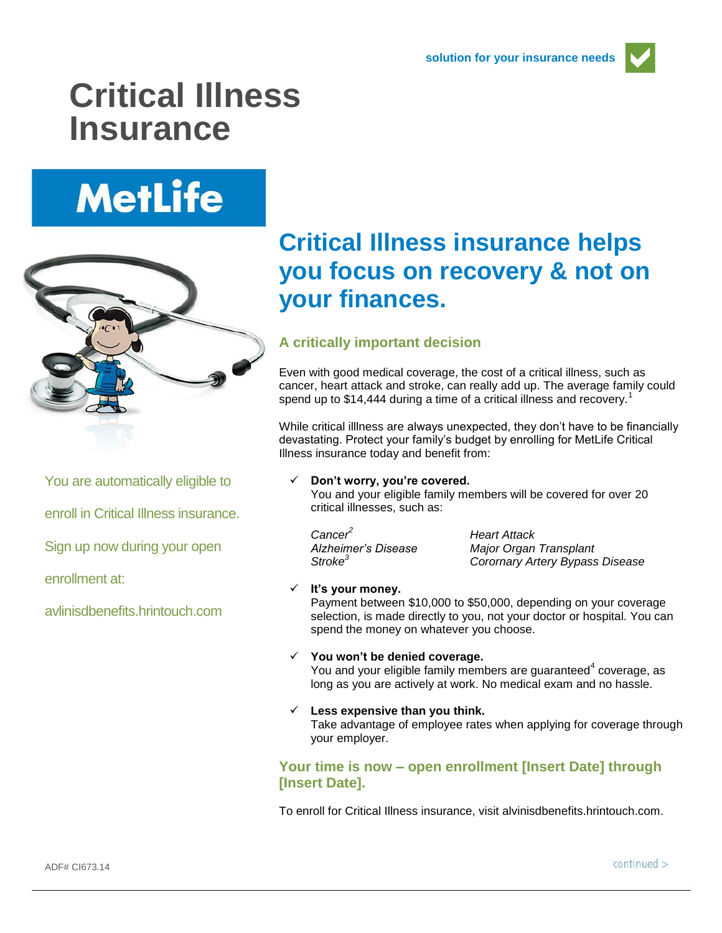

## **Critical Illness Insurance**

# **MetLife**



You are automatically eligible to

enroll in Critical Illness insurance.

Sign up now during your open

enrollment at:

avlinisdbenefits.hrintouch.com

### **Critical Illness insurance helps you focus on recovery & not on your finances.**

#### **A critically important decision**

Even with good medical coverage, the cost of a critical illness, such as cancer, heart attack and stroke, can really add up. The average family could spend up to \$14,444 during a time of a critical illness and recovery.<sup>1</sup>

While critical illlness are always unexpected, they don't have to be financially devastating. Protect your family's budget by enrolling for MetLife Critical Illness insurance today and benefit from:

#### **Don't worry, you're covered.**

You and your eligible family members will be covered for over 20 critical illnesses, such as:

*Cancer<sup>2</sup> Heart Attack*

*Alzheimer's Disease Major Organ Transplant Stroke<sup>3</sup> Corornary Artery Bypass Disease*

#### **It's your money.**

Payment between \$10,000 to \$50,000, depending on your coverage selection, is made directly to you, not your doctor or hospital. You can spend the money on whatever you choose.

#### **You won't be denied coverage.**

You and your eligible family members are guaranteed<sup>4</sup> coverage, as long as you are actively at work. No medical exam and no hassle.

#### **Less expensive than you think.**

Take advantage of employee rates when applying for coverage through your employer.

#### **Your time is now – open enrollment [Insert Date] through [Insert Date].**

To enroll for Critical Illness insurance, visit alvinisdbenefits.hrintouch.com.